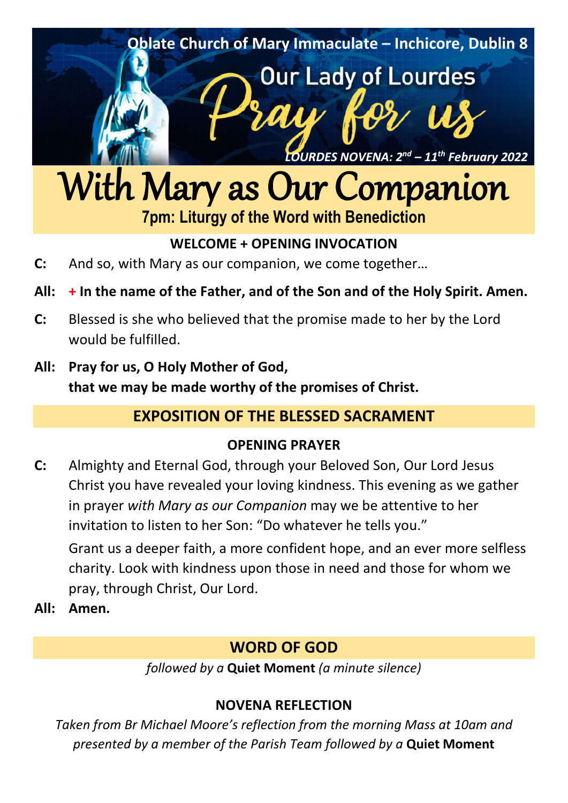

# With Mary as Our Companion **7pm: Liturgy of the Word with Benediction**

## **WELCOME + OPENING INVOCATION**

- **C:** And so, with Mary as our companion, we come together…
- **All: + In the name of the Father, and of the Son and of the Holy Spirit. Amen.**
- **C:** Blessed is she who believed that the promise made to her by the Lord would be fulfilled.
- **All: Pray for us, O Holy Mother of God, that we may be made worthy of the promises of Christ.**

# **EXPOSITION OF THE BLESSED SACRAMENT**

## **OPENING PRAYER**

- **C:** Almighty and Eternal God, through your Beloved Son, Our Lord Jesus Christ you have revealed your loving kindness. This evening as we gather in prayer *with Mary as our Companion* may we be attentive to her invitation to listen to her Son: "Do whatever he tells you." Grant us a deeper faith, a more confident hope, and an ever more selfless charity. Look with kindness upon those in need and those for whom we pray, through Christ, Our Lord.
- **All: Amen.**

# **WORD OF GOD**

*followed by a* **Quiet Moment** *(a minute silence)*

# **NOVENA REFLECTION**

*Taken from Br Michael Moore's reflection from the morning Mass at 10am and presented by a member of the Parish Team followed by a* **Quiet Moment**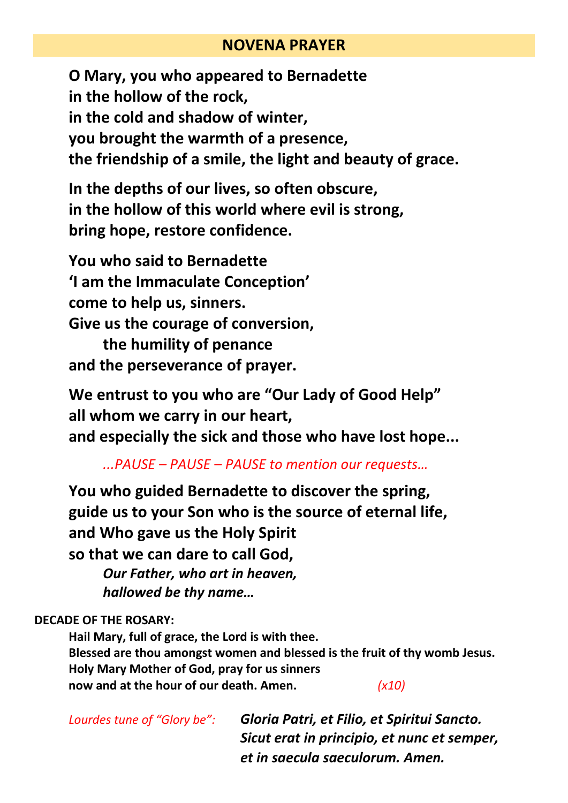## **NOVENA PRAYER**

**O Mary, you who appeared to Bernadette in the hollow of the rock, in the cold and shadow of winter, you brought the warmth of a presence, the friendship of a smile, the light and beauty of grace.**

**In the depths of our lives, so often obscure, in the hollow of this world where evil is strong, bring hope, restore confidence.**

**You who said to Bernadette 'I am the Immaculate Conception' come to help us, sinners. Give us the courage of conversion,** 

**the humility of penance and the perseverance of prayer.**

**We entrust to you who are "Our Lady of Good Help" all whom we carry in our heart, and especially the sick and those who have lost hope...**

*...PAUSE – PAUSE – PAUSE to mention our requests…*

**You who guided Bernadette to discover the spring, guide us to your Son who is the source of eternal life, and Who gave us the Holy Spirit so that we can dare to call God,** 

*Our Father, who art in heaven, hallowed be thy name…*

**DECADE OF THE ROSARY:** 

**Hail Mary, full of grace, the Lord is with thee. Blessed are thou amongst women and blessed is the fruit of thy womb Jesus. Holy Mary Mother of God, pray for us sinners now and at the hour of our death. Amen.** *(x10)*

*Lourdes tune of "Glory be": Gloria Patri, et Filio, et Spiritui Sancto. Sicut erat in principio, et nunc et semper, et in saecula saeculorum. Amen.*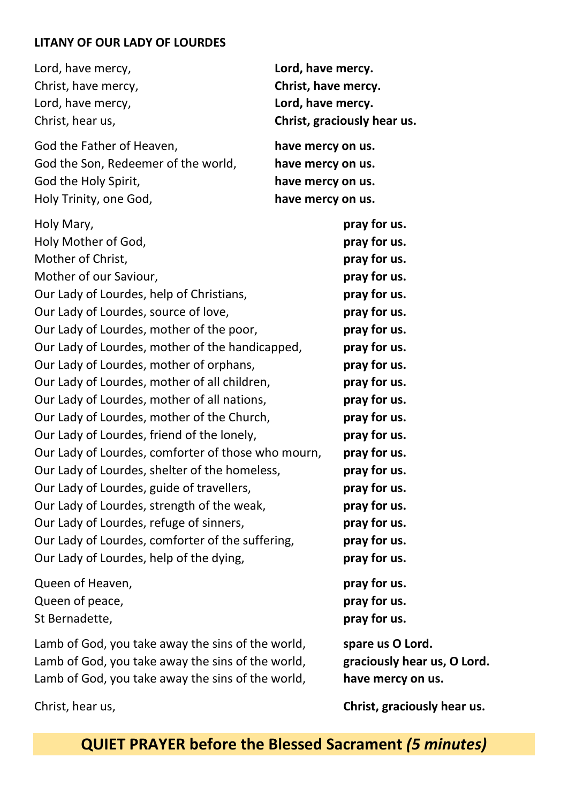#### **LITANY OF OUR LADY OF LOURDES**

| Lord, have mercy,<br>Lord, have mercy.<br>Christ, have mercy.<br>Christ, have mercy,<br>Lord, have mercy,<br>Lord, have mercy.<br>Christ, hear us,<br>Christ, graciously hear us.                      |                  |
|--------------------------------------------------------------------------------------------------------------------------------------------------------------------------------------------------------|------------------|
| God the Father of Heaven,<br>have mercy on us.<br>God the Son, Redeemer of the world,<br>have mercy on us.<br>God the Holy Spirit,<br>have mercy on us.<br>Holy Trinity, one God,<br>have mercy on us. |                  |
| Holy Mary,                                                                                                                                                                                             | pray for us.     |
| Holy Mother of God,                                                                                                                                                                                    | pray for us.     |
| Mother of Christ,                                                                                                                                                                                      | pray for us.     |
| Mother of our Saviour,                                                                                                                                                                                 | pray for us.     |
| Our Lady of Lourdes, help of Christians,                                                                                                                                                               | pray for us.     |
| Our Lady of Lourdes, source of love,                                                                                                                                                                   | pray for us.     |
| Our Lady of Lourdes, mother of the poor,                                                                                                                                                               | pray for us.     |
| Our Lady of Lourdes, mother of the handicapped,                                                                                                                                                        | pray for us.     |
| Our Lady of Lourdes, mother of orphans,                                                                                                                                                                | pray for us.     |
| Our Lady of Lourdes, mother of all children,                                                                                                                                                           | pray for us.     |
| Our Lady of Lourdes, mother of all nations,                                                                                                                                                            | pray for us.     |
| Our Lady of Lourdes, mother of the Church,                                                                                                                                                             | pray for us.     |
| Our Lady of Lourdes, friend of the lonely,                                                                                                                                                             | pray for us.     |
| Our Lady of Lourdes, comforter of those who mourn,                                                                                                                                                     | pray for us.     |
| Our Lady of Lourdes, shelter of the homeless,                                                                                                                                                          | pray for us.     |
| Our Lady of Lourdes, guide of travellers,                                                                                                                                                              | pray for us.     |
| Our Lady of Lourdes, strength of the weak,                                                                                                                                                             | pray for us.     |
| Our Lady of Lourdes, refuge of sinners,                                                                                                                                                                | pray for us.     |
| Our Lady of Lourdes, comforter of the suffering,                                                                                                                                                       | pray for us.     |
| Our Lady of Lourdes, help of the dying,                                                                                                                                                                | pray for us.     |
| Queen of Heaven,                                                                                                                                                                                       | pray for us.     |
| Queen of peace,                                                                                                                                                                                        | pray for us.     |
| St Bernadette,                                                                                                                                                                                         | pray for us.     |
| Lamb of God, you take away the sins of the world,                                                                                                                                                      | spare us O Lord. |

Lamb of God, you take away the sins of the world, **graciously hear us, O Lord.**  Lamb of God, you take away the sins of the world, **have mercy on us.**

Christ, hear us, **Christ, graciously hear us.**

**QUIET PRAYER before the Blessed Sacrament** *(5 minutes)*